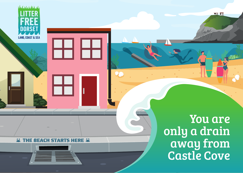

بدهة دعدعيان

You are only a drain away from Castle Cove

**STATE**